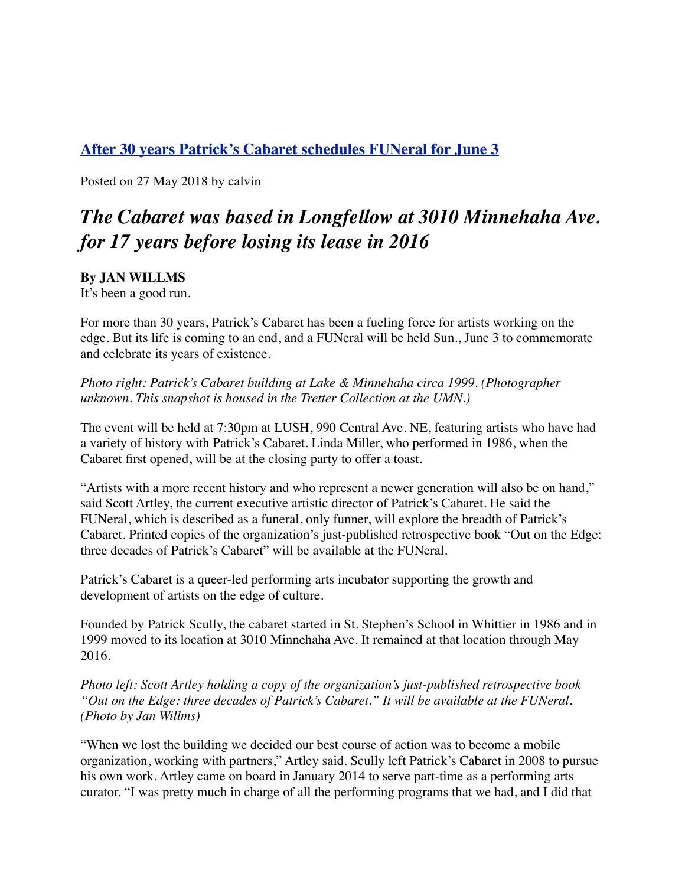## **[After 30 years Patrick's Cabaret schedules FUNeral for June 3](http://www.longfellownokomismessenger.com/after-30-years-patricks-cabaret-schedules-funeral-for-june-3/)**

Posted on 27 May 2018 by calvin

# *The Cabaret was based in Longfellow at 3010 Minnehaha Ave. for 17 years before losing its lease in 2016*

**By JAN WILLMS**

It's been a good run.

For more than 30 years, Patrick's Cabaret has been a fueling force for artists working on the edge. But its life is coming to an end, and a FUNeral will be held Sun., June 3 to commemorate and celebrate its years of existence.

*Photo right: Patrick's Cabaret building at Lake & Minnehaha circa 1999. (Photographer unknown. This snapshot is housed in the Tretter Collection at the UMN.)*

The event will be held at 7:30pm at LUSH, 990 Central Ave. NE, featuring artists who have had a variety of history with Patrick's Cabaret. Linda Miller, who performed in 1986, when the Cabaret first opened, will be at the closing party to offer a toast.

"Artists with a more recent history and who represent a newer generation will also be on hand," said Scott Artley, the current executive artistic director of Patrick's Cabaret. He said the FUNeral, which is described as a funeral, only funner, will explore the breadth of Patrick's Cabaret. Printed copies of the organization's just-published retrospective book "Out on the Edge: three decades of Patrick's Cabaret" will be available at the FUNeral.

Patrick's Cabaret is a queer-led performing arts incubator supporting the growth and development of artists on the edge of culture.

Founded by Patrick Scully, the cabaret started in St. Stephen's School in Whittier in 1986 and in 1999 moved to its location at 3010 Minnehaha Ave. It remained at that location through May 2016.

*Photo left: Scott Artley holding a copy of the organization's just-published retrospective book "Out on the Edge: three decades of Patrick's Cabaret." It will be available at the FUNeral. (Photo by Jan Willms)*

"When we lost the building we decided our best course of action was to become a mobile organization, working with partners," Artley said. Scully left Patrick's Cabaret in 2008 to pursue his own work. Artley came on board in January 2014 to serve part-time as a performing arts curator. "I was pretty much in charge of all the performing programs that we had, and I did that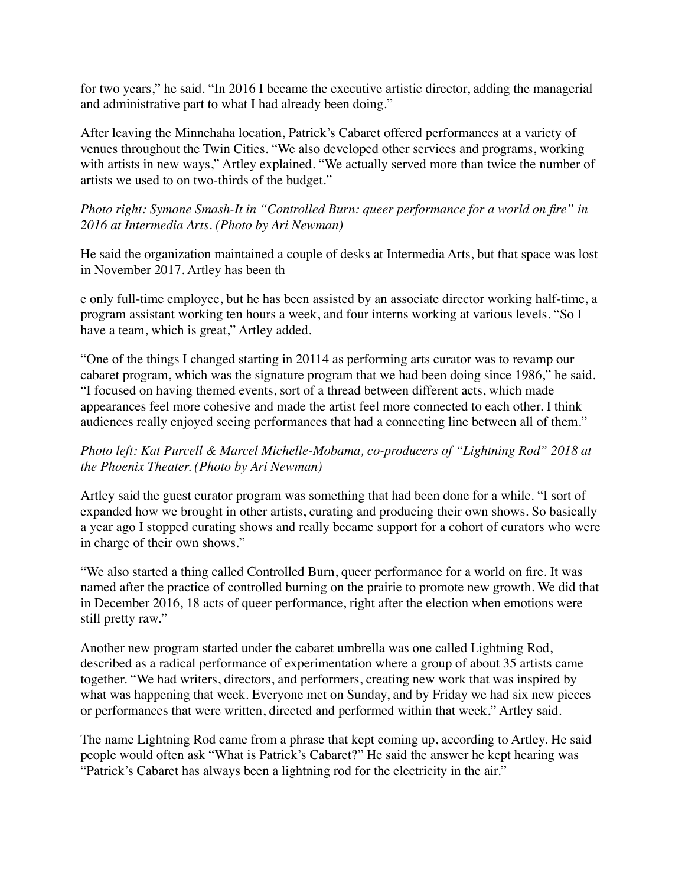for two years," he said. "In 2016 I became the executive artistic director, adding the managerial and administrative part to what I had already been doing."

After leaving the Minnehaha location, Patrick's Cabaret offered performances at a variety of venues throughout the Twin Cities. "We also developed other services and programs, working with artists in new ways," Artley explained. "We actually served more than twice the number of artists we used to on two-thirds of the budget."

*Photo right: Symone Smash-It in "Controlled Burn: queer performance for a world on fire" in 2016 at Intermedia Arts. (Photo by Ari Newman)*

He said the organization maintained a couple of desks at Intermedia Arts, but that space was lost in November 2017. Artley has been th

e only full-time employee, but he has been assisted by an associate director working half-time, a program assistant working ten hours a week, and four interns working at various levels. "So I have a team, which is great," Artley added.

"One of the things I changed starting in 20114 as performing arts curator was to revamp our cabaret program, which was the signature program that we had been doing since 1986," he said. "I focused on having themed events, sort of a thread between different acts, which made appearances feel more cohesive and made the artist feel more connected to each other. I think audiences really enjoyed seeing performances that had a connecting line between all of them."

#### *Photo left: Kat Purcell & Marcel Michelle-Mobama, co-producers of "Lightning Rod" 2018 at the Phoenix Theater. (Photo by Ari Newman)*

Artley said the guest curator program was something that had been done for a while. "I sort of expanded how we brought in other artists, curating and producing their own shows. So basically a year ago I stopped curating shows and really became support for a cohort of curators who were in charge of their own shows."

"We also started a thing called Controlled Burn, queer performance for a world on fire. It was named after the practice of controlled burning on the prairie to promote new growth. We did that in December 2016, 18 acts of queer performance, right after the election when emotions were still pretty raw."

Another new program started under the cabaret umbrella was one called Lightning Rod, described as a radical performance of experimentation where a group of about 35 artists came together. "We had writers, directors, and performers, creating new work that was inspired by what was happening that week. Everyone met on Sunday, and by Friday we had six new pieces or performances that were written, directed and performed within that week," Artley said.

The name Lightning Rod came from a phrase that kept coming up, according to Artley. He said people would often ask "What is Patrick's Cabaret?" He said the answer he kept hearing was "Patrick's Cabaret has always been a lightning rod for the electricity in the air."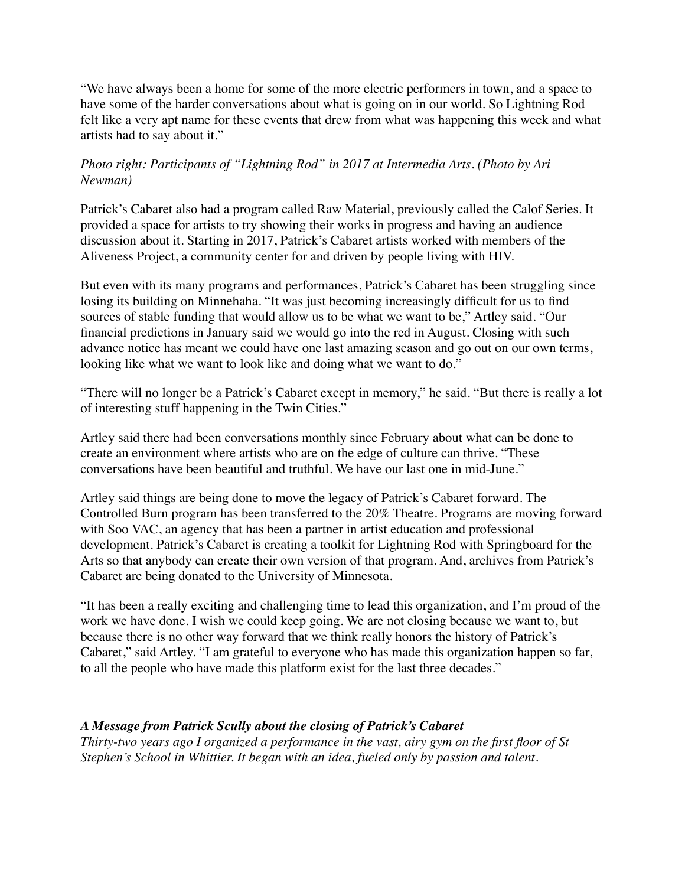"We have always been a home for some of the more electric performers in town, and a space to have some of the harder conversations about what is going on in our world. So Lightning Rod felt like a very apt name for these events that drew from what was happening this week and what artists had to say about it."

### *Photo right: Participants of "Lightning Rod" in 2017 at Intermedia Arts. (Photo by Ari Newman)*

Patrick's Cabaret also had a program called Raw Material, previously called the Calof Series. It provided a space for artists to try showing their works in progress and having an audience discussion about it. Starting in 2017, Patrick's Cabaret artists worked with members of the Aliveness Project, a community center for and driven by people living with HIV.

But even with its many programs and performances, Patrick's Cabaret has been struggling since losing its building on Minnehaha. "It was just becoming increasingly difficult for us to find sources of stable funding that would allow us to be what we want to be," Artley said. "Our financial predictions in January said we would go into the red in August. Closing with such advance notice has meant we could have one last amazing season and go out on our own terms, looking like what we want to look like and doing what we want to do."

"There will no longer be a Patrick's Cabaret except in memory," he said. "But there is really a lot of interesting stuff happening in the Twin Cities."

Artley said there had been conversations monthly since February about what can be done to create an environment where artists who are on the edge of culture can thrive. "These conversations have been beautiful and truthful. We have our last one in mid-June."

Artley said things are being done to move the legacy of Patrick's Cabaret forward. The Controlled Burn program has been transferred to the 20% Theatre. Programs are moving forward with Soo VAC, an agency that has been a partner in artist education and professional development. Patrick's Cabaret is creating a toolkit for Lightning Rod with Springboard for the Arts so that anybody can create their own version of that program. And, archives from Patrick's Cabaret are being donated to the University of Minnesota.

"It has been a really exciting and challenging time to lead this organization, and I'm proud of the work we have done. I wish we could keep going. We are not closing because we want to, but because there is no other way forward that we think really honors the history of Patrick's Cabaret," said Artley. "I am grateful to everyone who has made this organization happen so far, to all the people who have made this platform exist for the last three decades."

#### *A Message from Patrick Scully about the closing of Patrick's Cabaret*

*Thirty-two years ago I organized a performance in the vast, airy gym on the first floor of St Stephen's School in Whittier. It began with an idea, fueled only by passion and talent.*